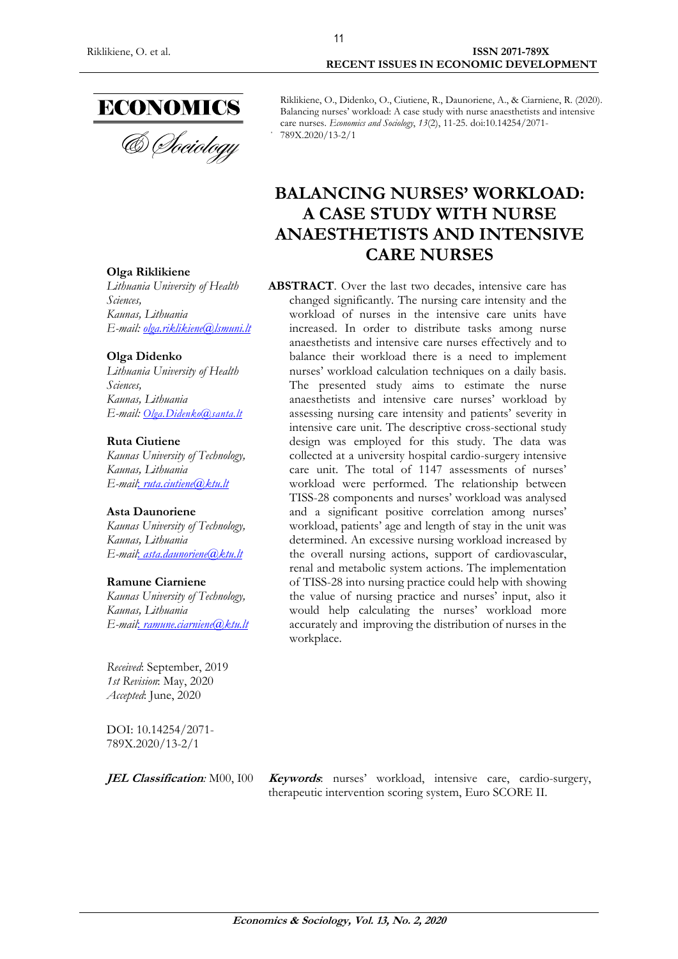

#### Riklikiene, O., Didenko, O., Ciutiene, R., Daunoriene, A., & Ciarniene, R. (2020). Balancing nurses' workload: A case study with nurse anaesthetists and intensive care nurses. *Economics and Sociology*, *13*(2), 11-25. doi:10.14254/2071- 789X.2020/13-2/1

# **BALANCING NURSES' WORKLOAD: A CASE STUDY WITH NURSE ANAESTHETISTS AND INTENSIVE CARE NURSES**

**ABSTRACT**. Over the last two decades, intensive care has changed significantly. The nursing care intensity and the workload of nurses in the intensive care units have increased. In order to distribute tasks among nurse anaesthetists and intensive care nurses effectively and to balance their workload there is a need to implement nurses' workload calculation techniques on a daily basis. The presented study aims to estimate the nurse anaesthetists and intensive care nurses' workload by assessing nursing care intensity and patients' severity in intensive care unit. The descriptive cross-sectional study design was employed for this study. The data was collected at a university hospital cardio-surgery intensive care unit. The total of 1147 assessments of nurses' workload were performed. The relationship between TISS-28 components and nurses' workload was analysed and a significant positive correlation among nurses' workload, patients' age and length of stay in the unit was determined. An excessive nursing workload increased by the overall nursing actions, support of cardiovascular, renal and metabolic system actions. The implementation of TISS-28 into nursing practice could help with showing the value of nursing practice and nurses' input, also it would help calculating the nurses' workload more accurately and improving the distribution of nurses in the workplace.

**Olga Riklikiene**

*Lithuania University of Health Sciences, [Kaunas,](https://en.wikipedia.org/wiki/Podgorica) Lithuania E-mail: [olga.riklikiene@lsmuni.lt](mailto:olga.riklikiene@lsmuni.lt)*

### **Olga Didenko**

*Lithuania University of Health Sciences, [Kaunas,](https://en.wikipedia.org/wiki/Podgorica) Lithuania E-mail: [Olga.Didenko@santa.lt](mailto:Olga.Didenko@santa.lt)*

### **Ruta Ciutiene**

*Kaunas University of Technology, [Kaunas,](https://en.wikipedia.org/wiki/Podgorica) Lithuania E-mail*: *[ruta.ciutiene@ktu.lt](mailto:ruta.ciutiene@ktu.lt)*

# **Asta Daunoriene**

*Kaunas University of Technology, [Kaunas,](https://en.wikipedia.org/wiki/Podgorica) Lithuania E-mail*: *[asta.daunoriene@ktu.lt](mailto:asta.daunoriene@ktu.lt)*

### **Ramune Ciarniene**

*Kaunas University of Technology, [Kaunas,](https://en.wikipedia.org/wiki/Podgorica) Lithuania E-mail*: *[ramune.ciarniene@ktu.lt](mailto:ramune.ciarniene@ktu.lt)*

*Received*: September, 2019 *1st Revision*: May, 2020 *Accepted*: June, 2020

DOI: 10.14254/2071- 789X.2020/13-2/1

**JEL Classification***:* M00, I00 **Keywords**: nurses' workload, intensive care, cardio-surgery, therapeutic intervention scoring system, Euro SCORE II.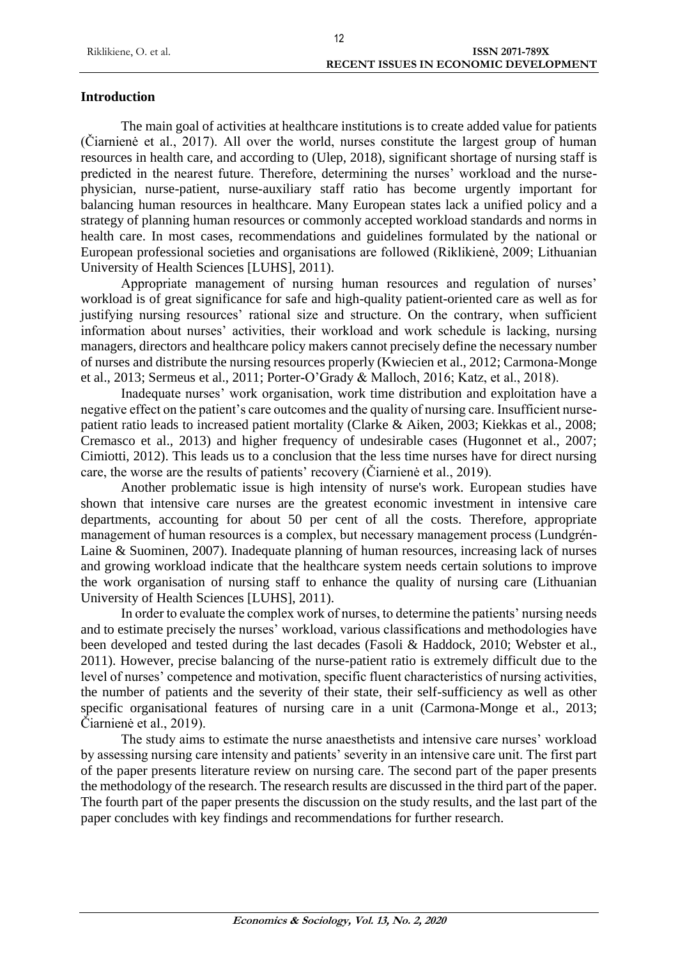# **Introduction**

The main goal of activities at healthcare institutions is to create added value for patients (Čiarnienė et al., 2017). All over the world, nurses constitute the largest group of human resources in health care, and according to (Ulep, 2018), significant shortage of nursing staff is predicted in the nearest future. Therefore, determining the nurses' workload and the nursephysician, nurse-patient, nurse-auxiliary staff ratio has become urgently important for balancing human resources in healthcare. Many European states lack a unified policy and a strategy of planning human resources or commonly accepted workload standards and norms in health care. In most cases, recommendations and guidelines formulated by the national or European professional societies and organisations are followed (Riklikienė, 2009; Lithuanian University of Health Sciences [LUHS], 2011).

Appropriate management of nursing human resources and regulation of nurses' workload is of great significance for safe and high-quality patient-oriented care as well as for justifying nursing resources' rational size and structure. On the contrary, when sufficient information about nurses' activities, their workload and work schedule is lacking, nursing managers, directors and healthcare policy makers cannot precisely define the necessary number of nurses and distribute the nursing resources properly (Kwiecien et al., 2012; Carmona-Monge et al., 2013; Sermeus et al., 2011; Porter-O'Grady & Malloch, 2016; Katz, et al., 2018).

Inadequate nurses' work organisation, work time distribution and exploitation have a negative effect on the patient's care outcomes and the quality of nursing care. Insufficient nursepatient ratio leads to increased patient mortality (Clarke & Aiken, 2003; Kiekkas et al., 2008; Cremasco et al., 2013) and higher frequency of undesirable cases (Hugonnet et al., 2007; Cimiotti, 2012). This leads us to a conclusion that the less time nurses have for direct nursing care, the worse are the results of patients' recovery (Čiarnienė et al., 2019).

Another problematic issue is high intensity of nurse's work. European studies have shown that intensive care nurses are the greatest economic investment in intensive care departments, accounting for about 50 per cent of all the costs. Therefore, appropriate management of human resources is a complex, but necessary management process (Lundgrén-Laine & Suominen, 2007). Inadequate planning of human resources, increasing lack of nurses and growing workload indicate that the healthcare system needs certain solutions to improve the work organisation of nursing staff to enhance the quality of nursing care (Lithuanian University of Health Sciences [LUHS], 2011).

In order to evaluate the complex work of nurses, to determine the patients' nursing needs and to estimate precisely the nurses' workload, various classifications and methodologies have been developed and tested during the last decades (Fasoli & Haddock, 2010; Webster et al., 2011). However, precise balancing of the nurse-patient ratio is extremely difficult due to the level of nurses' competence and motivation, specific fluent characteristics of nursing activities, the number of patients and the severity of their state, their self-sufficiency as well as other specific organisational features of nursing care in a unit (Carmona-Monge et al., 2013; Čiarnienė et al., 2019).

The study aims to estimate the nurse anaesthetists and intensive care nurses' workload by assessing nursing care intensity and patients' severity in an intensive care unit. The first part of the paper presents literature review on nursing care. The second part of the paper presents the methodology of the research. The research results are discussed in the third part of the paper. The fourth part of the paper presents the discussion on the study results, and the last part of the paper concludes with key findings and recommendations for further research.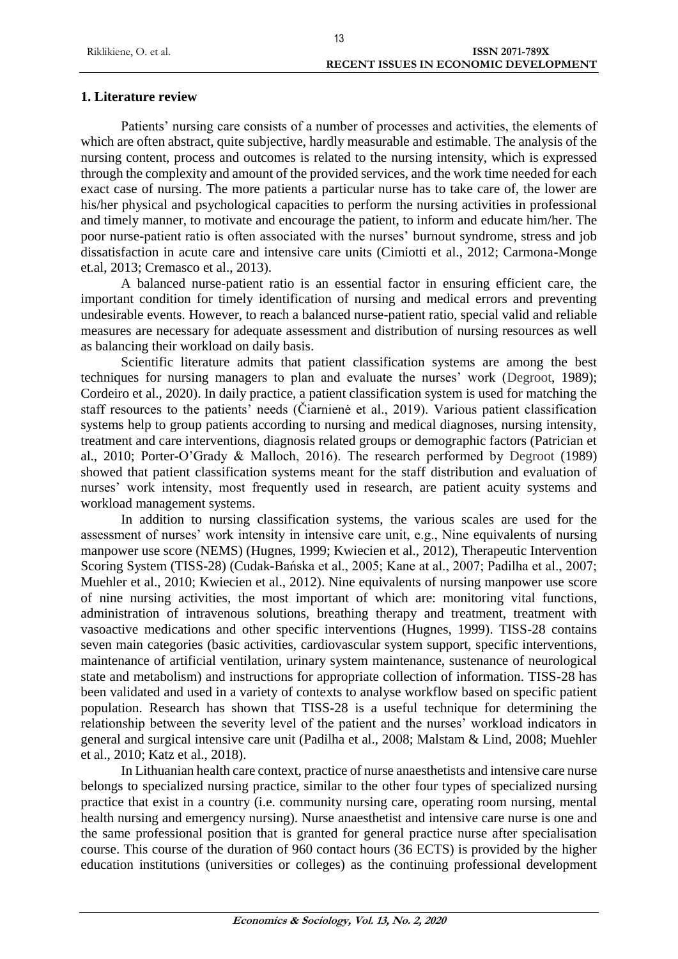# **1. Literature review**

Patients' nursing care consists of a number of processes and activities, the elements of which are often abstract, quite subjective, hardly measurable and estimable. The analysis of the nursing content, process and outcomes is related to the nursing intensity, which is expressed through the complexity and amount of the provided services, and the work time needed for each exact case of nursing. The more patients a particular nurse has to take care of, the lower are his/her physical and psychological capacities to perform the nursing activities in professional and timely manner, to motivate and encourage the patient, to inform and educate him/her. The poor nurse-patient ratio is often associated with the nurses' burnout syndrome, stress and job dissatisfaction in acute care and intensive care units (Cimiotti et al., 2012; Carmona-Monge et.al, 2013; Cremasco et al., 2013).

A balanced nurse-patient ratio is an essential factor in ensuring efficient care, the important condition for timely identification of nursing and medical errors and preventing undesirable events. However, to reach a balanced nurse-patient ratio, special valid and reliable measures are necessary for adequate assessment and distribution of nursing resources as well as balancing their workload on daily basis.

Scientific literature admits that patient classification systems are among the best techniques for nursing managers to plan and evaluate the nurses' work (Degroot, 1989); Cordeiro et al., 2020). In daily practice, a patient classification system is used for matching the staff resources to the patients' needs (Čiarnienė et al., 2019). Various patient classification systems help to group patients according to nursing and medical diagnoses, nursing intensity, treatment and care interventions, diagnosis related groups or demographic factors (Patrician et al., 2010; Porter-O'Grady & Malloch, 2016). The research performed by Degroot (1989) showed that patient classification systems meant for the staff distribution and evaluation of nurses' work intensity, most frequently used in research, are patient acuity systems and workload management systems.

In addition to nursing classification systems, the various scales are used for the assessment of nurses' work intensity in intensive care unit, e.g., Nine equivalents of nursing manpower use score (NEMS) (Hugnes, 1999; Kwiecien et al., 2012), Therapeutic Intervention Scoring System (TISS-28) (Cudak-Bańska et al., 2005; Kane at al., 2007; Padilha et al., 2007; Muehler et al., 2010; Kwiecien et al., 2012). Nine equivalents of nursing manpower use score of nine nursing activities, the most important of which are: monitoring vital functions, administration of intravenous solutions, breathing therapy and treatment, treatment with vasoactive medications and other specific interventions (Hugnes, 1999). TISS-28 contains seven main categories (basic activities, cardiovascular system support, specific interventions, maintenance of artificial ventilation, urinary system maintenance, sustenance of neurological state and metabolism) and instructions for appropriate collection of information. TISS-28 has been validated and used in a variety of contexts to analyse workflow based on specific patient population. Research has shown that TISS-28 is a useful technique for determining the relationship between the severity level of the patient and the nurses' workload indicators in general and surgical intensive care unit (Padilha et al., 2008; Malstam & Lind, 2008; Muehler et al., 2010; Katz et al., 2018).

In Lithuanian health care context, practice of nurse anaesthetists and intensive care nurse belongs to specialized nursing practice, similar to the other four types of specialized nursing practice that exist in a country (i.e. community nursing care, operating room nursing, mental health nursing and emergency nursing). Nurse anaesthetist and intensive care nurse is one and the same professional position that is granted for general practice nurse after specialisation course. This course of the duration of 960 contact hours (36 ECTS) is provided by the higher education institutions (universities or colleges) as the continuing professional development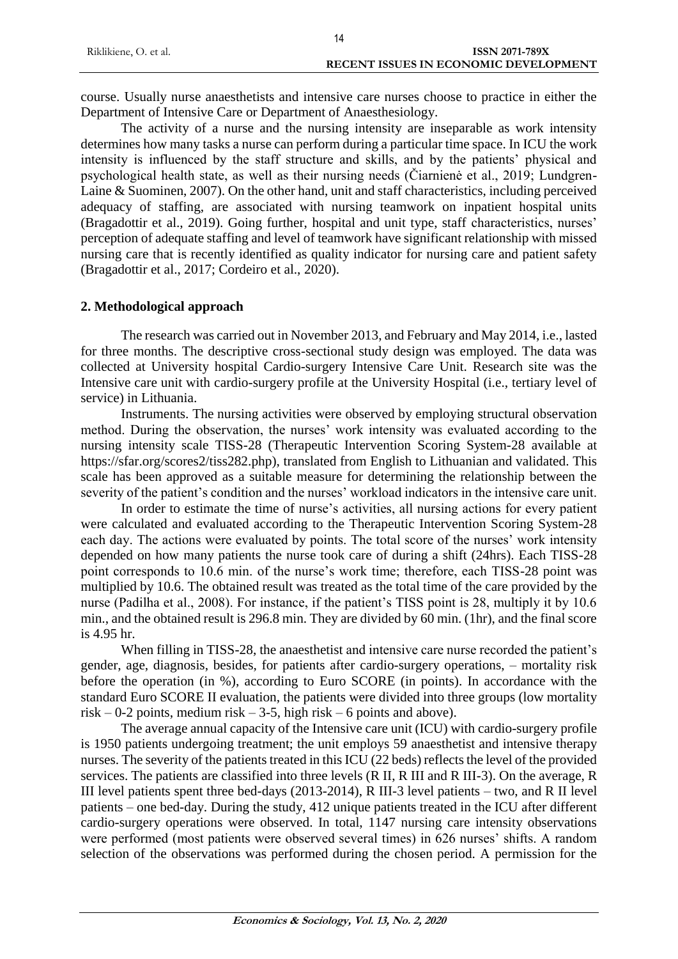| Riklikiene, O. et al. | <b>ISSN 2071-789X</b>                        |
|-----------------------|----------------------------------------------|
|                       | <b>RECENT ISSUES IN ECONOMIC DEVELOPMENT</b> |

course. Usually nurse anaesthetists and intensive care nurses choose to practice in either the Department of Intensive Care or Department of Anaesthesiology.

The activity of a nurse and the nursing intensity are inseparable as work intensity determines how many tasks a nurse can perform during a particular time space. In ICU the work intensity is influenced by the staff structure and skills, and by the patients' physical and psychological health state, as well as their nursing needs (Čiarnienė et al., 2019; Lundgren-Laine & Suominen, 2007). On the other hand, unit and staff characteristics, including perceived adequacy of staffing, are associated with nursing teamwork on inpatient hospital units (Bragadottir et al., 2019). Going further, hospital and unit type, staff characteristics, nurses' perception of adequate staffing and level of teamwork have significant relationship with missed nursing care that is recently identified as quality indicator for nursing care and patient safety (Bragadottir et al., 2017; Cordeiro et al., 2020).

### **2. Methodological approach**

The research was carried out in November 2013, and February and May 2014, i.e., lasted for three months. The descriptive cross-sectional study design was employed. The data was collected at University hospital Cardio-surgery Intensive Care Unit. Research site was the Intensive care unit with cardio-surgery profile at the University Hospital (i.e., tertiary level of service) in Lithuania.

Instruments. The nursing activities were observed by employing structural observation method. During the observation, the nurses' work intensity was evaluated according to the nursing intensity scale TISS-28 (Therapeutic Intervention Scoring System-28 available at https://sfar.org/scores2/tiss282.php), translated from English to Lithuanian and validated. This scale has been approved as a suitable measure for determining the relationship between the severity of the patient's condition and the nurses' workload indicators in the intensive care unit.

In order to estimate the time of nurse's activities, all nursing actions for every patient were calculated and evaluated according to the Therapeutic Intervention Scoring System-28 each day. The actions were evaluated by points. The total score of the nurses' work intensity depended on how many patients the nurse took care of during a shift (24hrs). Each TISS-28 point corresponds to 10.6 min. of the nurse's work time; therefore, each TISS-28 point was multiplied by 10.6. The obtained result was treated as the total time of the care provided by the nurse (Padilha et al., 2008). For instance, if the patient's TISS point is 28, multiply it by 10.6 min., and the obtained result is 296.8 min. They are divided by 60 min. (1hr), and the final score is 4.95 hr.

When filling in TISS-28, the anaesthetist and intensive care nurse recorded the patient's gender, age, diagnosis, besides, for patients after cardio-surgery operations, – mortality risk before the operation (in %), according to Euro SCORE (in points). In accordance with the standard Euro SCORE II evaluation, the patients were divided into three groups (low mortality risk – 0-2 points, medium risk – 3-5, high risk – 6 points and above).

The average annual capacity of the Intensive care unit (ICU) with cardio-surgery profile is 1950 patients undergoing treatment; the unit employs 59 anaesthetist and intensive therapy nurses. The severity of the patients treated in this ICU (22 beds) reflects the level of the provided services. The patients are classified into three levels (R II, R III and R III-3). On the average, R III level patients spent three bed-days (2013-2014), R III-3 level patients – two, and R II level patients – one bed-day. During the study, 412 unique patients treated in the ICU after different cardio-surgery operations were observed. In total, 1147 nursing care intensity observations were performed (most patients were observed several times) in 626 nurses' shifts. A random selection of the observations was performed during the chosen period. A permission for the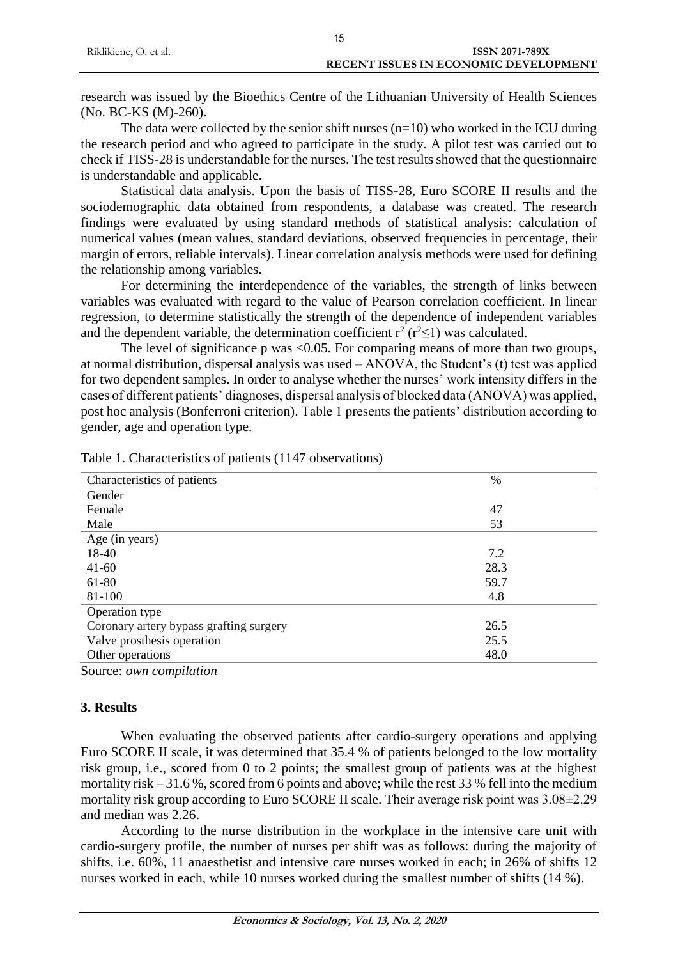| Riklikiene, O. et al. | <b>ISSN 2071-789X</b>                        |
|-----------------------|----------------------------------------------|
|                       | <b>RECENT ISSUES IN ECONOMIC DEVELOPMENT</b> |
|                       |                                              |

15

research was issued by the Bioethics Centre of the Lithuanian University of Health Sciences (No. BC-KS (M)-260).

The data were collected by the senior shift nurses  $(n=10)$  who worked in the ICU during the research period and who agreed to participate in the study. A pilot test was carried out to check if TISS-28 is understandable for the nurses. The test results showed that the questionnaire is understandable and applicable.

Statistical data analysis. Upon the basis of TISS-28, Euro SCORE II results and the sociodemographic data obtained from respondents, a database was created. The research findings were evaluated by using standard methods of statistical analysis: calculation of numerical values (mean values, standard deviations, observed frequencies in percentage, their margin of errors, reliable intervals). Linear correlation analysis methods were used for defining the relationship among variables.

For determining the interdependence of the variables, the strength of links between variables was evaluated with regard to the value of Pearson correlation coefficient. In linear regression, to determine statistically the strength of the dependence of independent variables and the dependent variable, the determination coefficient  $r^2$  ( $r^2 \le 1$ ) was calculated.

The level of significance p was <0.05. For comparing means of more than two groups, at normal distribution, dispersal analysis was used – ANOVA, the Student's (t) test was applied for two dependent samples. In order to analyse whether the nurses' work intensity differs in the cases of different patients' diagnoses, dispersal analysis of blocked data (ANOVA) was applied, post hoc analysis (Bonferroni criterion). Table 1 presents the patients' distribution according to gender, age and operation type.

| Characteristics of patients             | $\%$ |
|-----------------------------------------|------|
| Gender                                  |      |
| Female                                  | 47   |
| Male                                    | 53   |
| Age (in years)                          |      |
| 18-40                                   | 7.2  |
| $41 - 60$                               | 28.3 |
| 61-80                                   | 59.7 |
| 81-100                                  | 4.8  |
| Operation type                          |      |
| Coronary artery bypass grafting surgery | 26.5 |
| Valve prosthesis operation              | 25.5 |
| Other operations                        | 48.0 |
|                                         |      |

Table 1. Characteristics of patients (1147 observations)

Source: *own compilation*

# **3. Results**

When evaluating the observed patients after cardio-surgery operations and applying Euro SCORE II scale, it was determined that 35.4 % of patients belonged to the low mortality risk group, i.e., scored from 0 to 2 points; the smallest group of patients was at the highest mortality risk – 31.6 %, scored from 6 points and above; while the rest 33 % fell into the medium mortality risk group according to Euro SCORE II scale. Their average risk point was 3.08±2.29 and median was 2.26.

According to the nurse distribution in the workplace in the intensive care unit with cardio-surgery profile, the number of nurses per shift was as follows: during the majority of shifts, i.e. 60%, 11 anaesthetist and intensive care nurses worked in each; in 26% of shifts 12 nurses worked in each, while 10 nurses worked during the smallest number of shifts (14 %).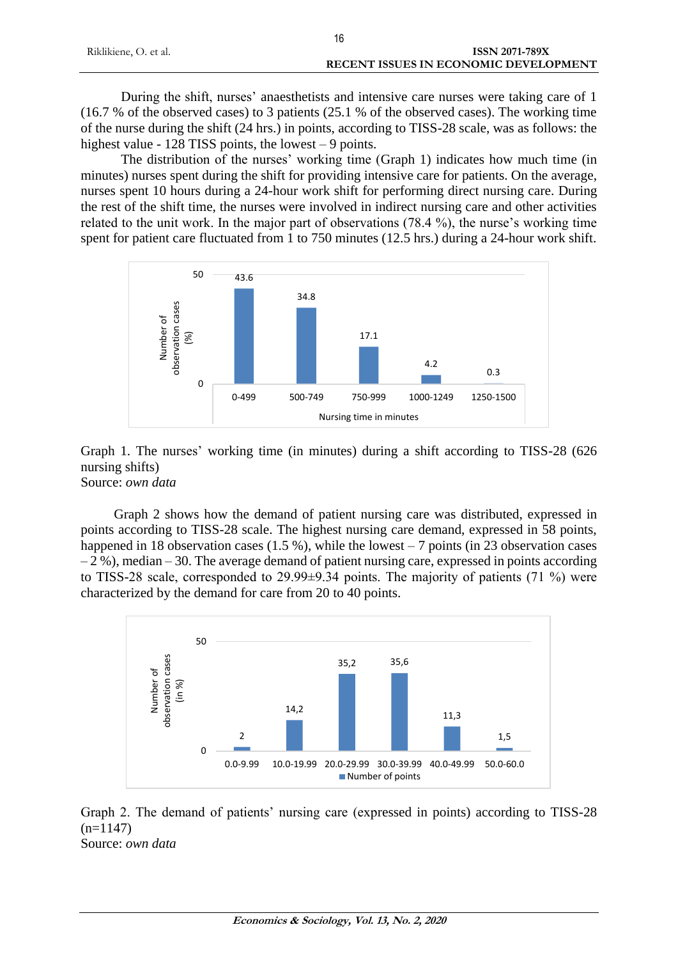|                       | 16                                    |
|-----------------------|---------------------------------------|
| Riklikiene, O. et al. | ISSN 2071-789X                        |
|                       | RECENT ISSUES IN ECONOMIC DEVELOPMENT |

During the shift, nurses' anaesthetists and intensive care nurses were taking care of 1 (16.7 % of the observed cases) to 3 patients (25.1 % of the observed cases). The working time of the nurse during the shift (24 hrs.) in points, according to TISS-28 scale, was as follows: the highest value - 128 TISS points, the lowest – 9 points.

The distribution of the nurses' working time (Graph 1) indicates how much time (in minutes) nurses spent during the shift for providing intensive care for patients. On the average, nurses spent 10 hours during a 24-hour work shift for performing direct nursing care. During the rest of the shift time, the nurses were involved in indirect nursing care and other activities related to the unit work. In the major part of observations (78.4 %), the nurse's working time spent for patient care fluctuated from 1 to 750 minutes (12.5 hrs.) during a 24-hour work shift.



Graph 1. The nurses' working time (in minutes) during a shift according to TISS-28 (626 nursing shifts) Source: *own data*

Graph 2 shows how the demand of patient nursing care was distributed, expressed in points according to TISS-28 scale. The highest nursing care demand, expressed in 58 points, happened in 18 observation cases  $(1.5 \%)$ , while the lowest – 7 points (in 23 observation cases  $-2\%$ ), median – 30. The average demand of patient nursing care, expressed in points according to TISS-28 scale, corresponded to 29.99±9.34 points. The majority of patients (71 %) were characterized by the demand for care from 20 to 40 points.



Graph 2. The demand of patients' nursing care (expressed in points) according to TISS-28  $(n=1147)$ Source: *own data*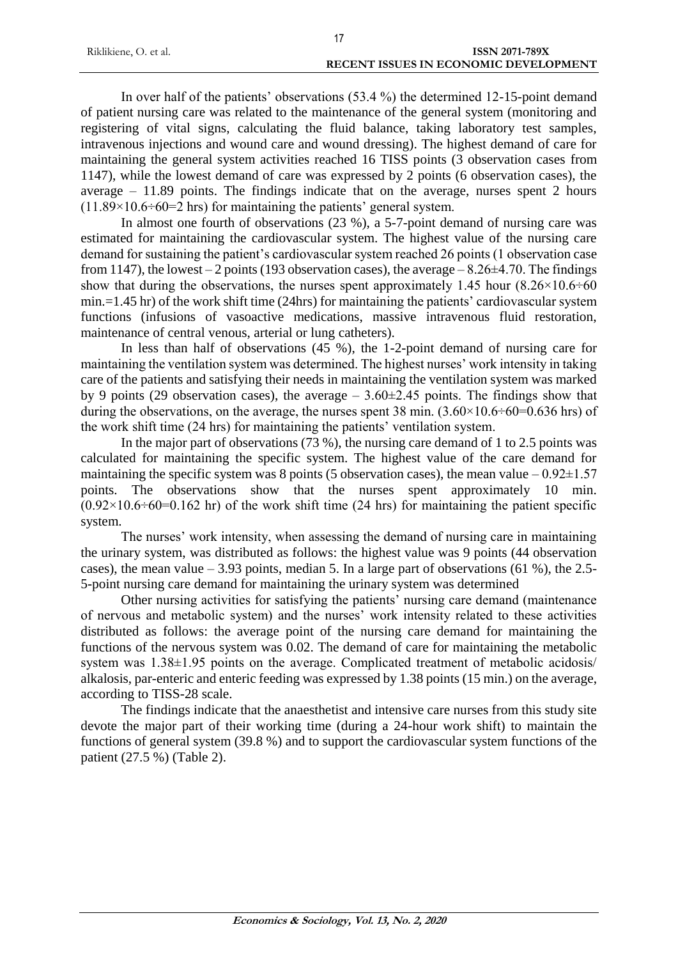| Riklikiene, O. et al. | ISSN 2071-789X                               |  |
|-----------------------|----------------------------------------------|--|
|                       | <b>RECENT ISSUES IN ECONOMIC DEVELOPMENT</b> |  |

In over half of the patients' observations (53.4 %) the determined 12-15-point demand of patient nursing care was related to the maintenance of the general system (monitoring and registering of vital signs, calculating the fluid balance, taking laboratory test samples, intravenous injections and wound care and wound dressing). The highest demand of care for maintaining the general system activities reached 16 TISS points (3 observation cases from 1147), while the lowest demand of care was expressed by 2 points (6 observation cases), the average – 11.89 points. The findings indicate that on the average, nurses spent 2 hours  $(11.89\times10.6\div60=2$  hrs) for maintaining the patients' general system.

In almost one fourth of observations (23 %), a 5-7-point demand of nursing care was estimated for maintaining the cardiovascular system. The highest value of the nursing care demand for sustaining the patient's cardiovascular system reached 26 points (1 observation case from 1147), the lowest – 2 points (193 observation cases), the average –  $8.26\pm4.70$ . The findings show that during the observations, the nurses spent approximately 1.45 hour  $(8.26 \times 10.6 \div 60$ min.=1.45 hr) of the work shift time (24hrs) for maintaining the patients' cardiovascular system functions (infusions of vasoactive medications, massive intravenous fluid restoration, maintenance of central venous, arterial or lung catheters).

In less than half of observations (45 %), the 1-2-point demand of nursing care for maintaining the ventilation system was determined. The highest nurses' work intensity in taking care of the patients and satisfying their needs in maintaining the ventilation system was marked by 9 points (29 observation cases), the average  $-3.60\pm2.45$  points. The findings show that during the observations, on the average, the nurses spent 38 min.  $(3.60 \times 10.6 \div 60 = 0.636$  hrs) of the work shift time (24 hrs) for maintaining the patients' ventilation system.

In the major part of observations (73 %), the nursing care demand of 1 to 2.5 points was calculated for maintaining the specific system. The highest value of the care demand for maintaining the specific system was 8 points (5 observation cases), the mean value  $-0.92\pm1.57$ points. The observations show that the nurses spent approximately 10 min.  $(0.92 \times 10.6 \div 60 = 0.162$  hr) of the work shift time (24 hrs) for maintaining the patient specific system.

The nurses' work intensity, when assessing the demand of nursing care in maintaining the urinary system, was distributed as follows: the highest value was 9 points (44 observation cases), the mean value – 3.93 points, median 5. In a large part of observations (61 %), the 2.5-5-point nursing care demand for maintaining the urinary system was determined

Other nursing activities for satisfying the patients' nursing care demand (maintenance of nervous and metabolic system) and the nurses' work intensity related to these activities distributed as follows: the average point of the nursing care demand for maintaining the functions of the nervous system was 0.02. The demand of care for maintaining the metabolic system was  $1.38\pm1.95$  points on the average. Complicated treatment of metabolic acidosis/ alkalosis, par-enteric and enteric feeding was expressed by 1.38 points (15 min.) on the average, according to TISS-28 scale.

The findings indicate that the anaesthetist and intensive care nurses from this study site devote the major part of their working time (during a 24-hour work shift) to maintain the functions of general system (39.8 %) and to support the cardiovascular system functions of the patient (27.5 %) (Table 2).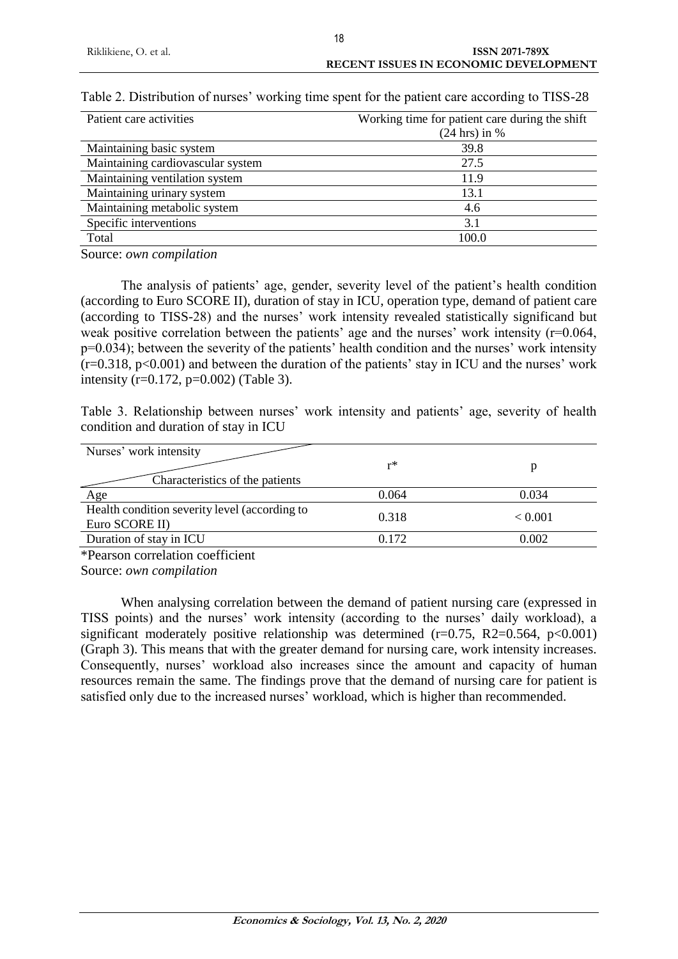| Working time for patient care during the shift |
|------------------------------------------------|
| $(24$ hrs) in %                                |
| 39.8                                           |
| 27.5                                           |
| 11.9                                           |
| 13.1                                           |
| 4.6                                            |
| 3.1                                            |
| 100.0                                          |
|                                                |

|  |  | Table 2. Distribution of nurses' working time spent for the patient care according to TISS-28 |
|--|--|-----------------------------------------------------------------------------------------------|
|--|--|-----------------------------------------------------------------------------------------------|

Source: *own compilation*

The analysis of patients' age, gender, severity level of the patient's health condition (according to Euro SCORE II), duration of stay in ICU, operation type, demand of patient care (according to TISS-28) and the nurses' work intensity revealed statistically significand but weak positive correlation between the patients' age and the nurses' work intensity (r=0.064,  $p=0.034$ ; between the severity of the patients' health condition and the nurses' work intensity  $(r=0.318, p<0.001)$  and between the duration of the patients' stay in ICU and the nurses' work intensity (r=0.172, p=0.002) (Table 3).

Table 3. Relationship between nurses' work intensity and patients' age, severity of health condition and duration of stay in ICU

| Nurses' work intensity                        |       |         |
|-----------------------------------------------|-------|---------|
|                                               | r*    |         |
| Characteristics of the patients               |       |         |
| Age                                           | 0.064 | 0.034   |
| Health condition severity level (according to | 0.318 | < 0.001 |
| Euro SCORE II)                                |       |         |
| Duration of stay in ICU                       | 0.172 | 0.002   |
|                                               |       |         |

\*Pearson correlation coefficient

Source: *own compilation*

When analysing correlation between the demand of patient nursing care (expressed in TISS points) and the nurses' work intensity (according to the nurses' daily workload), a significant moderately positive relationship was determined  $(r=0.75, R2=0.564, p<0.001)$ (Graph 3). This means that with the greater demand for nursing care, work intensity increases. Consequently, nurses' workload also increases since the amount and capacity of human resources remain the same. The findings prove that the demand of nursing care for patient is satisfied only due to the increased nurses' workload, which is higher than recommended.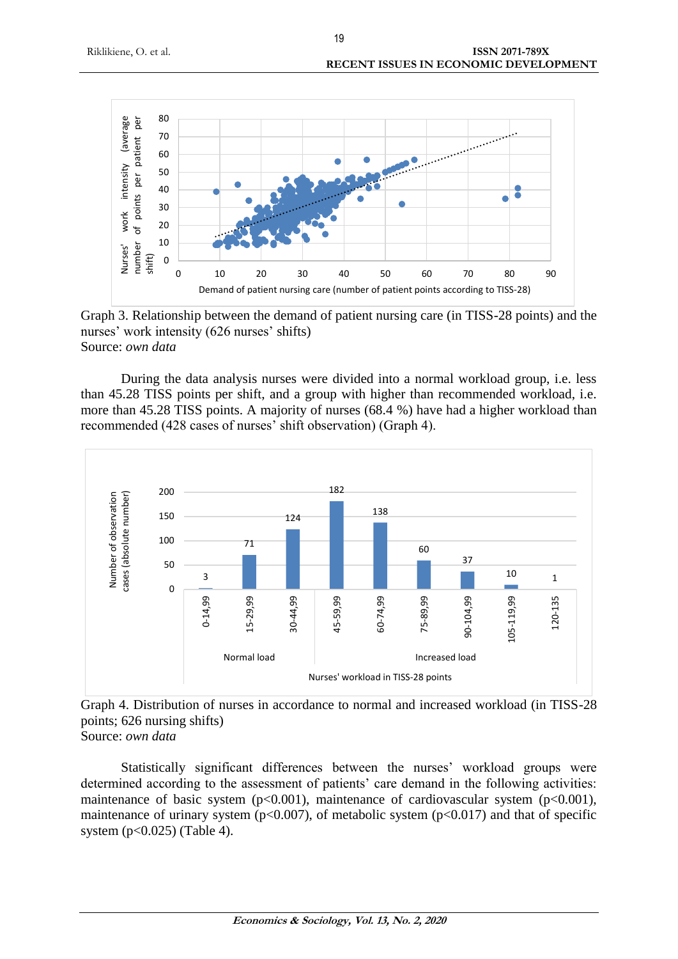

Graph 3. Relationship between the demand of patient nursing care (in TISS-28 points) and the nurses' work intensity (626 nurses' shifts) Source: *own data*

During the data analysis nurses were divided into a normal workload group, i.e. less than 45.28 TISS points per shift, and a group with higher than recommended workload, i.e. more than 45.28 TISS points. A majority of nurses (68.4 %) have had a higher workload than recommended (428 cases of nurses' shift observation) (Graph 4).



Graph 4. Distribution of nurses in accordance to normal and increased workload (in TISS-28 points; 626 nursing shifts) Source: *own data*

Statistically significant differences between the nurses' workload groups were determined according to the assessment of patients' care demand in the following activities: maintenance of basic system  $(p<0.001)$ , maintenance of cardiovascular system  $(p<0.001)$ , maintenance of urinary system ( $p<0.007$ ), of metabolic system ( $p<0.017$ ) and that of specific system  $(p<0.025)$  (Table 4).

19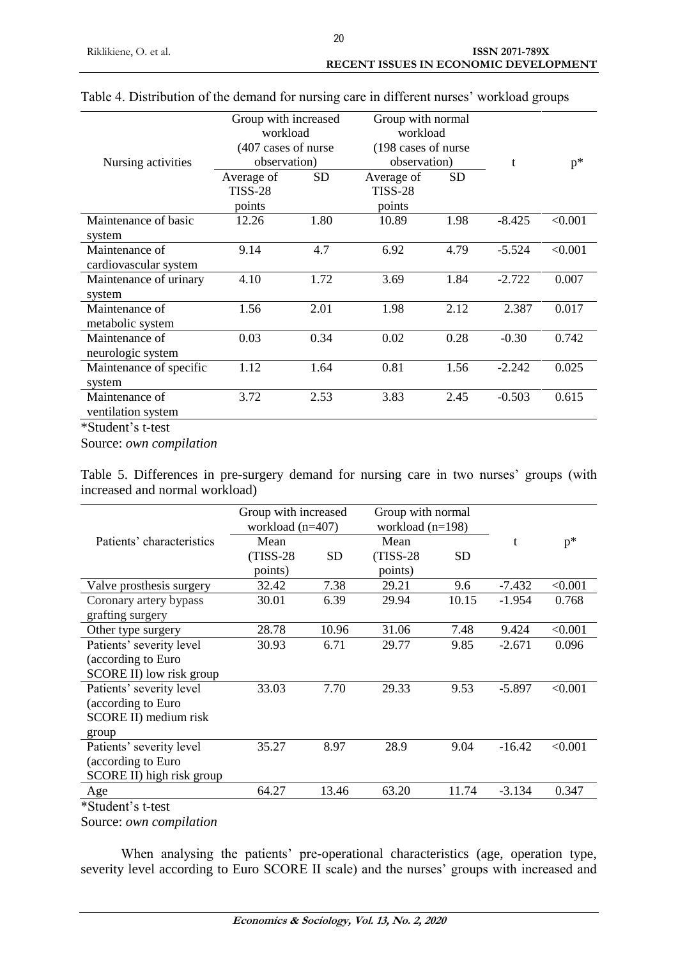|                                                                                            | Group with increased |           | Group with normal    |           |          |         |
|--------------------------------------------------------------------------------------------|----------------------|-----------|----------------------|-----------|----------|---------|
|                                                                                            | workload             |           | workload             |           |          |         |
|                                                                                            | (407 cases of nurse) |           | (198 cases of nurse) |           |          |         |
| Nursing activities                                                                         | observation)         |           | observation)         |           | t        | $p^*$   |
|                                                                                            | Average of           | <b>SD</b> | Average of           | <b>SD</b> |          |         |
|                                                                                            | <b>TISS-28</b>       |           | <b>TISS-28</b>       |           |          |         |
|                                                                                            | points               |           | points               |           |          |         |
| Maintenance of basic                                                                       | 12.26                | 1.80      | 10.89                | 1.98      | $-8.425$ | < 0.001 |
| system                                                                                     |                      |           |                      |           |          |         |
| Maintenance of                                                                             | 9.14                 | 4.7       | 6.92                 | 4.79      | $-5.524$ | < 0.001 |
| cardiovascular system                                                                      |                      |           |                      |           |          |         |
| Maintenance of urinary                                                                     | 4.10                 | 1.72      | 3.69                 | 1.84      | $-2.722$ | 0.007   |
| system                                                                                     |                      |           |                      |           |          |         |
| Maintenance of                                                                             | 1.56                 | 2.01      | 1.98                 | 2.12      | 2.387    | 0.017   |
| metabolic system                                                                           |                      |           |                      |           |          |         |
| Maintenance of                                                                             | 0.03                 | 0.34      | 0.02                 | 0.28      | $-0.30$  | 0.742   |
| neurologic system                                                                          |                      |           |                      |           |          |         |
| Maintenance of specific                                                                    | 1.12                 | 1.64      | 0.81                 | 1.56      | $-2.242$ | 0.025   |
| system                                                                                     |                      |           |                      |           |          |         |
| Maintenance of                                                                             | 3.72                 | 2.53      | 3.83                 | 2.45      | $-0.503$ | 0.615   |
| ventilation system                                                                         |                      |           |                      |           |          |         |
| $\mathbf{A} \cap \mathbf{C}$ , $\mathbf{A} \cap \mathbf{C}$ , $\mathbf{A} \cap \mathbf{C}$ |                      |           |                      |           |          |         |

# Table 4. Distribution of the demand for nursing care in different nurses' workload groups

\*Student's t-test

Source: *own compilation*

Table 5. Differences in pre-surgery demand for nursing care in two nurses' groups (with increased and normal workload)

|                           | Group with increased<br>workload $(n=407)$ |           | Group with normal<br>workload $(n=198)$ |           |          |         |
|---------------------------|--------------------------------------------|-----------|-----------------------------------------|-----------|----------|---------|
| Patients' characteristics | Mean                                       |           | Mean                                    |           | t        | $p^*$   |
|                           | $(TISS-28)$                                | <b>SD</b> | $(TISS-28)$                             | <b>SD</b> |          |         |
|                           | points)                                    |           | points)                                 |           |          |         |
| Valve prosthesis surgery  | 32.42                                      | 7.38      | 29.21                                   | 9.6       | $-7.432$ | < 0.001 |
| Coronary artery bypass    | 30.01                                      | 6.39      | 29.94                                   | 10.15     | $-1.954$ | 0.768   |
| grafting surgery          |                                            |           |                                         |           |          |         |
| Other type surgery        | 28.78                                      | 10.96     | 31.06                                   | 7.48      | 9.424    | < 0.001 |
| Patients' severity level  | 30.93                                      | 6.71      | 29.77                                   | 9.85      | $-2.671$ | 0.096   |
| (according to Euro        |                                            |           |                                         |           |          |         |
| SCORE II) low risk group  |                                            |           |                                         |           |          |         |
| Patients' severity level  | 33.03                                      | 7.70      | 29.33                                   | 9.53      | $-5.897$ | < 0.001 |
| (according to Euro        |                                            |           |                                         |           |          |         |
| SCORE II) medium risk     |                                            |           |                                         |           |          |         |
| group                     |                                            |           |                                         |           |          |         |
| Patients' severity level  | 35.27                                      | 8.97      | 28.9                                    | 9.04      | $-16.42$ | < 0.001 |
| (according to Euro        |                                            |           |                                         |           |          |         |
| SCORE II) high risk group |                                            |           |                                         |           |          |         |
| Age                       | 64.27                                      | 13.46     | 63.20                                   | 11.74     | $-3.134$ | 0.347   |
| *Student's t-test         |                                            |           |                                         |           |          |         |

Source: *own compilation*

When analysing the patients' pre-operational characteristics (age, operation type, severity level according to Euro SCORE II scale) and the nurses' groups with increased and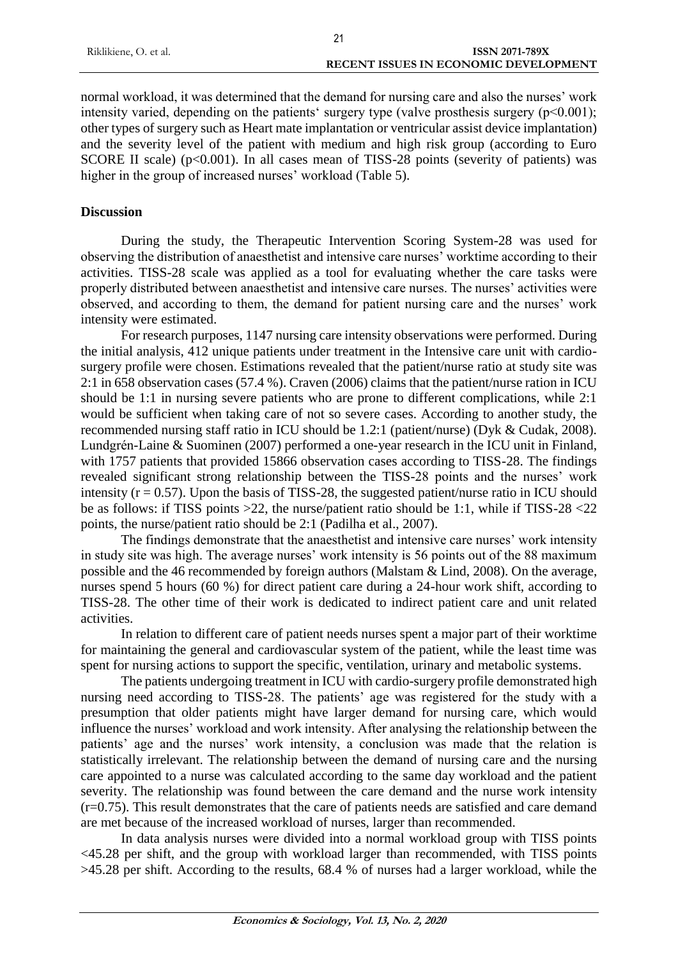| Riklikiene, O. et al.<br><b>ISSN 2071-789X</b> |  |
|------------------------------------------------|--|
| <b>RECENT ISSUES IN ECONOMIC DEVELOPMENT</b>   |  |

 $21$ 

normal workload, it was determined that the demand for nursing care and also the nurses' work intensity varied, depending on the patients' surgery type (valve prosthesis surgery  $(p<0.001)$ ; other types of surgery such as Heart mate implantation or ventricular assist device implantation) and the severity level of the patient with medium and high risk group (according to Euro SCORE II scale) (p<0.001). In all cases mean of TISS-28 points (severity of patients) was higher in the group of increased nurses' workload (Table 5).

# **Discussion**

During the study, the Therapeutic Intervention Scoring System-28 was used for observing the distribution of anaesthetist and intensive care nurses' worktime according to their activities. TISS-28 scale was applied as a tool for evaluating whether the care tasks were properly distributed between anaesthetist and intensive care nurses. The nurses' activities were observed, and according to them, the demand for patient nursing care and the nurses' work intensity were estimated.

For research purposes, 1147 nursing care intensity observations were performed. During the initial analysis, 412 unique patients under treatment in the Intensive care unit with cardiosurgery profile were chosen. Estimations revealed that the patient/nurse ratio at study site was 2:1 in 658 observation cases (57.4 %). Craven (2006) claims that the patient/nurse ration in ICU should be 1:1 in nursing severe patients who are prone to different complications, while 2:1 would be sufficient when taking care of not so severe cases. According to another study, the recommended nursing staff ratio in ICU should be 1.2:1 (patient/nurse) (Dyk & Cudak, 2008). Lundgrén-Laine & Suominen (2007) performed a one-year research in the ICU unit in Finland, with 1757 patients that provided 15866 observation cases according to TISS-28. The findings revealed significant strong relationship between the TISS-28 points and the nurses' work intensity  $(r = 0.57)$ . Upon the basis of TISS-28, the suggested patient/nurse ratio in ICU should be as follows: if TISS points >22, the nurse/patient ratio should be 1:1, while if TISS-28 <22 points, the nurse/patient ratio should be 2:1 (Padilha et al., 2007).

The findings demonstrate that the anaesthetist and intensive care nurses' work intensity in study site was high. The average nurses' work intensity is 56 points out of the 88 maximum possible and the 46 recommended by foreign authors (Malstam & Lind, 2008). On the average, nurses spend 5 hours (60 %) for direct patient care during a 24-hour work shift, according to TISS-28. The other time of their work is dedicated to indirect patient care and unit related activities.

In relation to different care of patient needs nurses spent a major part of their worktime for maintaining the general and cardiovascular system of the patient, while the least time was spent for nursing actions to support the specific, ventilation, urinary and metabolic systems.

The patients undergoing treatment in ICU with cardio-surgery profile demonstrated high nursing need according to TISS-28. The patients' age was registered for the study with a presumption that older patients might have larger demand for nursing care, which would influence the nurses' workload and work intensity. After analysing the relationship between the patients' age and the nurses' work intensity, a conclusion was made that the relation is statistically irrelevant. The relationship between the demand of nursing care and the nursing care appointed to a nurse was calculated according to the same day workload and the patient severity. The relationship was found between the care demand and the nurse work intensity (r=0.75). This result demonstrates that the care of patients needs are satisfied and care demand are met because of the increased workload of nurses, larger than recommended.

In data analysis nurses were divided into a normal workload group with TISS points <45.28 per shift, and the group with workload larger than recommended, with TISS points >45.28 per shift. According to the results, 68.4 % of nurses had a larger workload, while the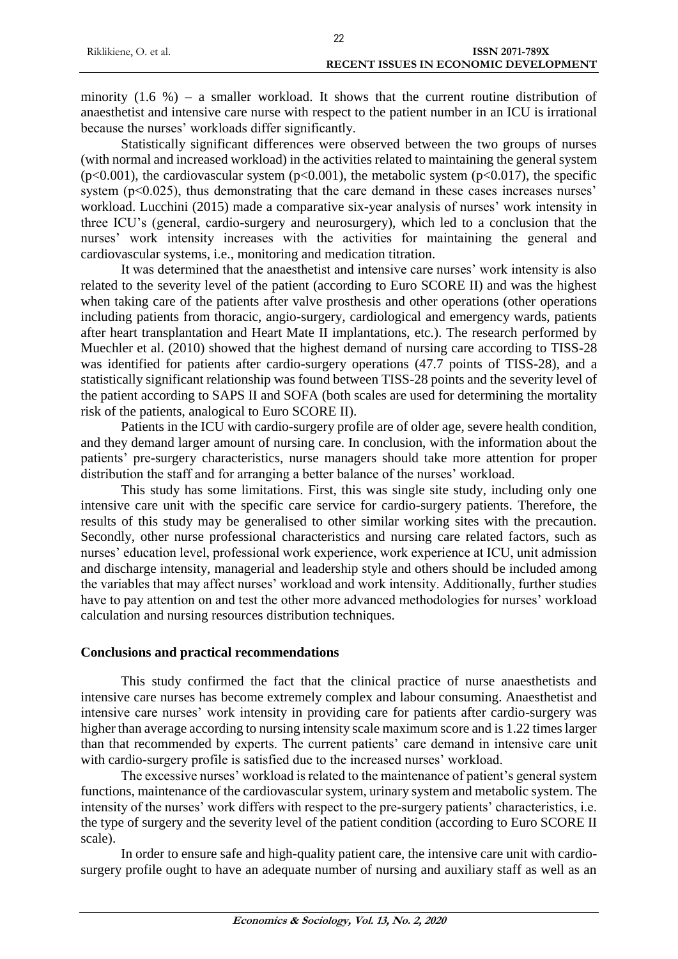|                       | ---                                          |
|-----------------------|----------------------------------------------|
| Riklikiene, O. et al. | <b>ISSN 2071-789X</b>                        |
|                       | <b>RECENT ISSUES IN ECONOMIC DEVELOPMENT</b> |
|                       |                                              |

 $22$ 

minority  $(1.6 \%)$  – a smaller workload. It shows that the current routine distribution of anaesthetist and intensive care nurse with respect to the patient number in an ICU is irrational because the nurses' workloads differ significantly.

Statistically significant differences were observed between the two groups of nurses (with normal and increased workload) in the activities related to maintaining the general system  $(p<0.001)$ , the cardiovascular system  $(p<0.001)$ , the metabolic system  $(p<0.017)$ , the specific system ( $p<0.025$ ), thus demonstrating that the care demand in these cases increases nurses' workload. Lucchini (2015) made a comparative six-year analysis of nurses' work intensity in three ICU's (general, cardio-surgery and neurosurgery), which led to a conclusion that the nurses' work intensity increases with the activities for maintaining the general and cardiovascular systems, i.e., monitoring and medication titration.

It was determined that the anaesthetist and intensive care nurses' work intensity is also related to the severity level of the patient (according to Euro SCORE II) and was the highest when taking care of the patients after valve prosthesis and other operations (other operations including patients from thoracic, angio-surgery, cardiological and emergency wards, patients after heart transplantation and Heart Mate II implantations, etc.). The research performed by Muechler et al. (2010) showed that the highest demand of nursing care according to TISS-28 was identified for patients after cardio-surgery operations (47.7 points of TISS-28), and a statistically significant relationship was found between TISS-28 points and the severity level of the patient according to SAPS II and SOFA (both scales are used for determining the mortality risk of the patients, analogical to Euro SCORE II).

Patients in the ICU with cardio-surgery profile are of older age, severe health condition, and they demand larger amount of nursing care. In conclusion, with the information about the patients' pre-surgery characteristics, nurse managers should take more attention for proper distribution the staff and for arranging a better balance of the nurses' workload.

This study has some limitations. First, this was single site study, including only one intensive care unit with the specific care service for cardio-surgery patients. Therefore, the results of this study may be generalised to other similar working sites with the precaution. Secondly, other nurse professional characteristics and nursing care related factors, such as nurses' education level, professional work experience, work experience at ICU, unit admission and discharge intensity, managerial and leadership style and others should be included among the variables that may affect nurses' workload and work intensity. Additionally, further studies have to pay attention on and test the other more advanced methodologies for nurses' workload calculation and nursing resources distribution techniques.

# **Conclusions and practical recommendations**

This study confirmed the fact that the clinical practice of nurse anaesthetists and intensive care nurses has become extremely complex and labour consuming. Anaesthetist and intensive care nurses' work intensity in providing care for patients after cardio-surgery was higher than average according to nursing intensity scale maximum score and is 1.22 times larger than that recommended by experts. The current patients' care demand in intensive care unit with cardio-surgery profile is satisfied due to the increased nurses' workload.

The excessive nurses' workload is related to the maintenance of patient's general system functions, maintenance of the cardiovascular system, urinary system and metabolic system. The intensity of the nurses' work differs with respect to the pre-surgery patients' characteristics, i.e. the type of surgery and the severity level of the patient condition (according to Euro SCORE II scale).

In order to ensure safe and high-quality patient care, the intensive care unit with cardiosurgery profile ought to have an adequate number of nursing and auxiliary staff as well as an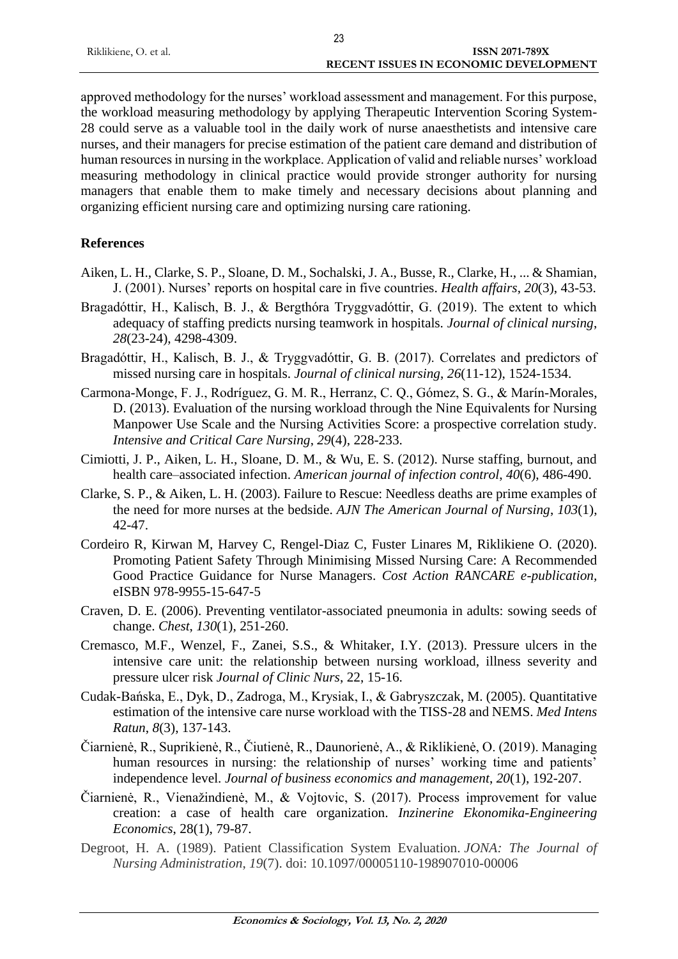| Riklikiene, O. et al. | ISSN 2071-789X                               |
|-----------------------|----------------------------------------------|
|                       | <b>RECENT ISSUES IN ECONOMIC DEVELOPMENT</b> |

approved methodology for the nurses' workload assessment and management. For this purpose, the workload measuring methodology by applying Therapeutic Intervention Scoring System-28 could serve as a valuable tool in the daily work of nurse anaesthetists and intensive care nurses, and their managers for precise estimation of the patient care demand and distribution of human resources in nursing in the workplace. Application of valid and reliable nurses' workload measuring methodology in clinical practice would provide stronger authority for nursing managers that enable them to make timely and necessary decisions about planning and organizing efficient nursing care and optimizing nursing care rationing.

# **References**

- Aiken, L. H., Clarke, S. P., Sloane, D. M., Sochalski, J. A., Busse, R., Clarke, H., ... & Shamian, J. (2001). Nurses' reports on hospital care in five countries. *Health affairs*, *20*(3), 43-53.
- Bragadóttir, H., Kalisch, B. J., & Bergthóra Tryggvadóttir, G. (2019). The extent to which adequacy of staffing predicts nursing teamwork in hospitals. *Journal of clinical nursing*, *28*(23-24), 4298-4309.
- Bragadóttir, H., Kalisch, B. J., & Tryggvadóttir, G. B. (2017). Correlates and predictors of missed nursing care in hospitals. *Journal of clinical nursing*, *26*(11-12), 1524-1534.
- Carmona-Monge, F. J., Rodríguez, G. M. R., Herranz, C. Q., Gómez, S. G., & Marín-Morales, D. (2013). Evaluation of the nursing workload through the Nine Equivalents for Nursing Manpower Use Scale and the Nursing Activities Score: a prospective correlation study. *Intensive and Critical Care Nursing*, *29*(4), 228-233.
- Cimiotti, J. P., Aiken, L. H., Sloane, D. M., & Wu, E. S. (2012). Nurse staffing, burnout, and health care–associated infection. *American journal of infection control*, *40*(6), 486-490.
- Clarke, S. P., & Aiken, L. H. (2003). Failure to Rescue: Needless deaths are prime examples of the need for more nurses at the bedside. *AJN The American Journal of Nursing*, *103*(1), 42-47.
- Cordeiro R, Kirwan M, Harvey C, Rengel-Diaz C, Fuster Linares M, Riklikiene O. (2020). Promoting Patient Safety Through Minimising Missed Nursing Care: A Recommended Good Practice Guidance for Nurse Managers. *Cost Action RANCARE e-publication,* eISBN 978-9955-15-647-5
- Craven, D. E. (2006). Preventing ventilator-associated pneumonia in adults: sowing seeds of change. *Chest*, *130*(1), 251-260.
- Cremasco, M.F., Wenzel, F., Zanei, S.S., & Whitaker, I.Y. (2013). Pressure ulcers in the intensive care unit: the relationship between nursing workload, illness severity and pressure ulcer risk *Journal of Clinic Nurs*, 22, 15-16.
- Cudak-Bańska, E., Dyk, D., Zadroga, M., Krysiak, I., & Gabryszczak, M. (2005). Quantitative estimation of the intensive care nurse workload with the TISS-28 and NEMS. *Med Intens Ratun*, *8*(3), 137-143.
- Čiarnienė, R., Suprikienė, R., Čiutienė, R., Daunorienė, A., & Riklikienė, O. (2019). Managing human resources in nursing: the relationship of nurses' working time and patients' independence level. *Journal of business economics and management*, *20*(1), 192-207.
- Čiarnienė, R., Vienažindienė, M., & Vojtovic, S. (2017). Process improvement for value creation: a case of health care organization. *Inzinerine Ekonomika-Engineering Economics*, 28(1), 79-87.
- Degroot, H. A. (1989). Patient Classification System Evaluation. *JONA: The Journal of Nursing Administration*, *19*(7). doi: 10.1097/00005110-198907010-00006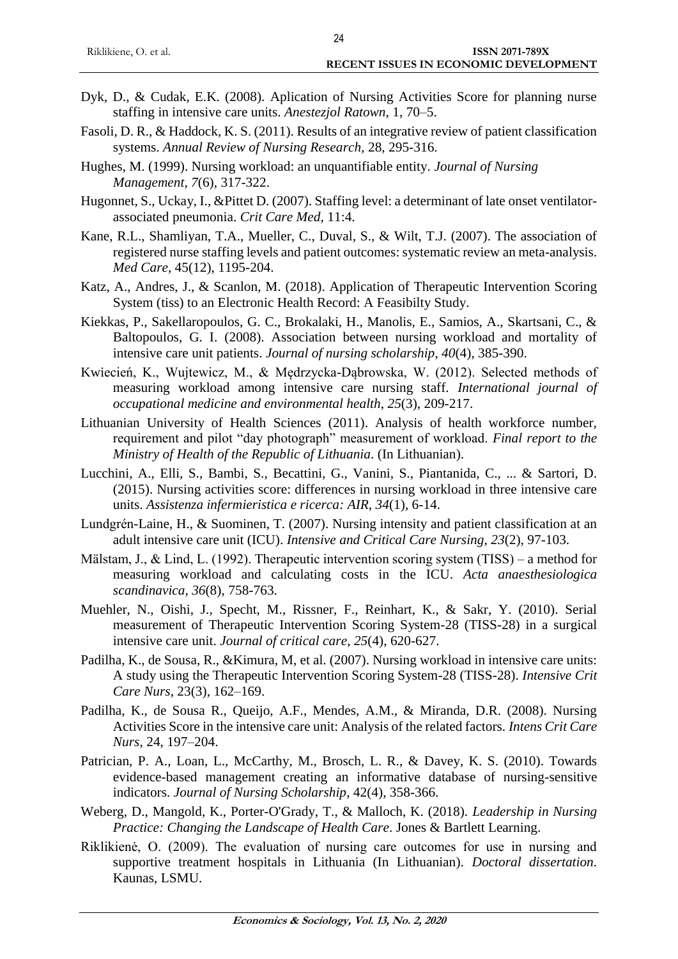- Dyk, D., & Cudak, E.K. (2008). Aplication of Nursing Activities Score for planning nurse staffing in intensive care units. *Anestezjol Ratown,* 1, 70–5.
- Fasoli, D. R., & Haddock, K. S. (2011). Results of an integrative review of patient classification systems. *Annual Review of Nursing Research*, 28, 295-316.
- Hughes, M. (1999). Nursing workload: an unquantifiable entity. *Journal of Nursing Management*, *7*(6), 317-322.
- Hugonnet, S., Uckay, I., &Pittet D. (2007). Staffing level: a determinant of late onset ventilatorassociated pneumonia. *Crit Care Med*, 11:4.
- Kane, R.L., Shamliyan, T.A., Mueller, C., Duval, S., & Wilt, T.J. (2007). The association of registered nurse staffing levels and patient outcomes: systematic review an meta-analysis. *Med Care,* 45(12), 1195-204.
- Katz, A., Andres, J., & Scanlon, M. (2018). Application of Therapeutic Intervention Scoring System (tiss) to an Electronic Health Record: A Feasibilty Study.
- Kiekkas, P., Sakellaropoulos, G. C., Brokalaki, H., Manolis, E., Samios, A., Skartsani, C., & Baltopoulos, G. I. (2008). Association between nursing workload and mortality of intensive care unit patients. *Journal of nursing scholarship*, *40*(4), 385-390.
- Kwiecień, K., Wujtewicz, M., & Mędrzycka-Dąbrowska, W. (2012). Selected methods of measuring workload among intensive care nursing staff. *International journal of occupational medicine and environmental health*, *25*(3), 209-217.
- Lithuanian University of Health Sciences (2011). Analysis of health workforce number, requirement and pilot "day photograph" measurement of workload. *Final report to the Ministry of Health of the Republic of Lithuania*. (In Lithuanian).
- Lucchini, A., Elli, S., Bambi, S., Becattini, G., Vanini, S., Piantanida, C., ... & Sartori, D. (2015). Nursing activities score: differences in nursing workload in three intensive care units. *Assistenza infermieristica e ricerca: AIR*, *34*(1), 6-14.
- Lundgrén-Laine, H., & Suominen, T. (2007). Nursing intensity and patient classification at an adult intensive care unit (ICU). *Intensive and Critical Care Nursing*, *23*(2), 97-103.
- Mälstam, J., & Lind, L. (1992). Therapeutic intervention scoring system (TISS) a method for measuring workload and calculating costs in the ICU. *Acta anaesthesiologica scandinavica*, *36*(8), 758-763.
- Muehler, N., Oishi, J., Specht, M., Rissner, F., Reinhart, K., & Sakr, Y. (2010). Serial measurement of Therapeutic Intervention Scoring System-28 (TISS-28) in a surgical intensive care unit. *Journal of critical care*, *25*(4), 620-627.
- Padilha, K., de Sousa, R., &Kimura, M, et al. (2007). Nursing workload in intensive care units: A study using the Therapeutic Intervention Scoring System-28 (TISS-28). *Intensive Crit Care Nurs*, 23(3), 162–169.
- Padilha, K., de Sousa R., Queijo, A.F., Mendes, A.M., & Miranda, D.R. (2008). Nursing Activities Score in the intensive care unit: Analysis of the related factors. *Intens Crit Care Nurs,* 24, 197–204.
- Patrician, P. A., Loan, L., McCarthy, M., Brosch, L. R., & Davey, K. S. (2010). Towards evidence-based management creating an informative database of nursing-sensitive indicators. *Journal of Nursing Scholarship*, 42(4), 358-366.
- Weberg, D., Mangold, K., Porter-O'Grady, T., & Malloch, K. (2018). *Leadership in Nursing Practice: Changing the Landscape of Health Care*. Jones & Bartlett Learning.
- Riklikienė, O. (2009). The evaluation of nursing care outcomes for use in nursing and supportive treatment hospitals in Lithuania (In Lithuanian). *Doctoral dissertation*. Kaunas, LSMU.